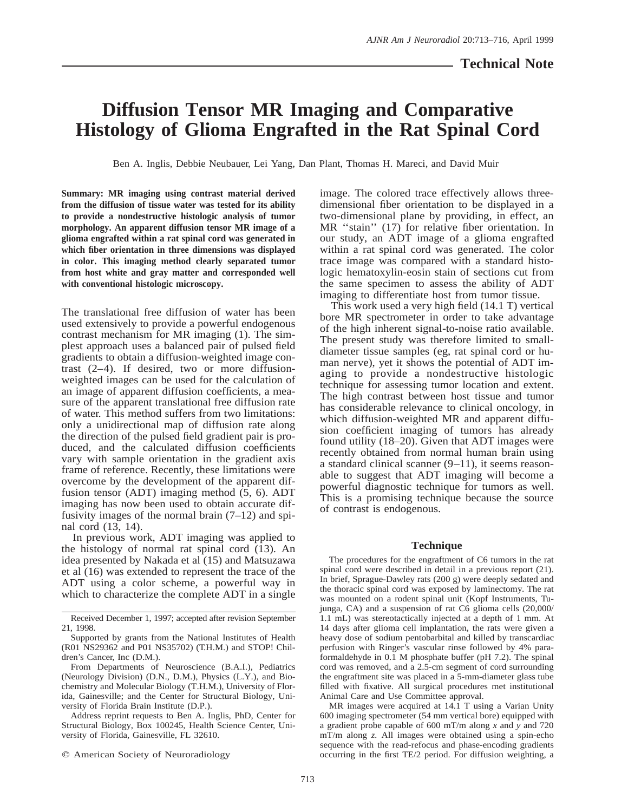# **Diffusion Tensor MR Imaging and Comparative Histology of Glioma Engrafted in the Rat Spinal Cord**

Ben A. Inglis, Debbie Neubauer, Lei Yang, Dan Plant, Thomas H. Mareci, and David Muir

**Summary: MR imaging using contrast material derived from the diffusion of tissue water was tested for its ability to provide a nondestructive histologic analysis of tumor morphology. An apparent diffusion tensor MR image of a glioma engrafted within a rat spinal cord was generated in which fiber orientation in three dimensions was displayed in color. This imaging method clearly separated tumor from host white and gray matter and corresponded well with conventional histologic microscopy.**

The translational free diffusion of water has been used extensively to provide a powerful endogenous contrast mechanism for MR imaging (1). The simplest approach uses a balanced pair of pulsed field gradients to obtain a diffusion-weighted image contrast (2–4). If desired, two or more diffusionweighted images can be used for the calculation of an image of apparent diffusion coefficients, a measure of the apparent translational free diffusion rate of water. This method suffers from two limitations: only a unidirectional map of diffusion rate along the direction of the pulsed field gradient pair is produced, and the calculated diffusion coefficients vary with sample orientation in the gradient axis frame of reference. Recently, these limitations were overcome by the development of the apparent diffusion tensor (ADT) imaging method (5, 6). ADT imaging has now been used to obtain accurate diffusivity images of the normal brain  $(7-12)$  and spinal cord (13, 14).

In previous work, ADT imaging was applied to the histology of normal rat spinal cord (13). An idea presented by Nakada et al (15) and Matsuzawa et al (16) was extended to represent the trace of the ADT using a color scheme, a powerful way in which to characterize the complete ADT in a single

Address reprint requests to Ben A. Inglis, PhD, Center for Structural Biology, Box 100245, Health Science Center, University of Florida, Gainesville, FL 32610.

 $©$  American Society of Neuroradiology

image. The colored trace effectively allows threedimensional fiber orientation to be displayed in a two-dimensional plane by providing, in effect, an MR ''stain'' (17) for relative fiber orientation. In our study, an ADT image of a glioma engrafted within a rat spinal cord was generated. The color trace image was compared with a standard histologic hematoxylin-eosin stain of sections cut from the same specimen to assess the ability of ADT imaging to differentiate host from tumor tissue.

This work used a very high field (14.1 T) vertical bore MR spectrometer in order to take advantage of the high inherent signal-to-noise ratio available. The present study was therefore limited to smalldiameter tissue samples (eg, rat spinal cord or human nerve), yet it shows the potential of ADT imaging to provide a nondestructive histologic technique for assessing tumor location and extent. The high contrast between host tissue and tumor has considerable relevance to clinical oncology, in which diffusion-weighted MR and apparent diffusion coefficient imaging of tumors has already found utility (18–20). Given that ADT images were recently obtained from normal human brain using a standard clinical scanner (9–11), it seems reasonable to suggest that ADT imaging will become a powerful diagnostic technique for tumors as well. This is a promising technique because the source of contrast is endogenous.

# **Technique**

The procedures for the engraftment of C6 tumors in the rat spinal cord were described in detail in a previous report (21). In brief, Sprague-Dawley rats (200 g) were deeply sedated and the thoracic spinal cord was exposed by laminectomy. The rat was mounted on a rodent spinal unit (Kopf Instruments, Tujunga, CA) and a suspension of rat C6 glioma cells (20,000/ 1.1 mL) was stereotactically injected at a depth of 1 mm. At 14 days after glioma cell implantation, the rats were given a heavy dose of sodium pentobarbital and killed by transcardiac perfusion with Ringer's vascular rinse followed by 4% paraformaldehyde in 0.1 M phosphate buffer (pH 7.2). The spinal cord was removed, and a 2.5-cm segment of cord surrounding the engraftment site was placed in a 5-mm-diameter glass tube filled with fixative. All surgical procedures met institutional Animal Care and Use Committee approval.

MR images were acquired at 14.1 T using a Varian Unity 600 imaging spectrometer (54 mm vertical bore) equipped with a gradient probe capable of 600 mT/m along *x* and *y* and 720 mT/m along *z.* All images were obtained using a spin-echo sequence with the read-refocus and phase-encoding gradients occurring in the first TE/2 period. For diffusion weighting, a

Received December 1, 1997; accepted after revision September 21, 1998.

Supported by grants from the National Institutes of Health (R01 NS29362 and P01 NS35702) (T.H.M.) and STOP! Children's Cancer, Inc (D.M.).

From Departments of Neuroscience (B.A.I.), Pediatrics (Neurology Division) (D.N., D.M.), Physics (L.Y.), and Biochemistry and Molecular Biology (T.H.M.), University of Florida, Gainesville; and the Center for Structural Biology, University of Florida Brain Institute (D.P.).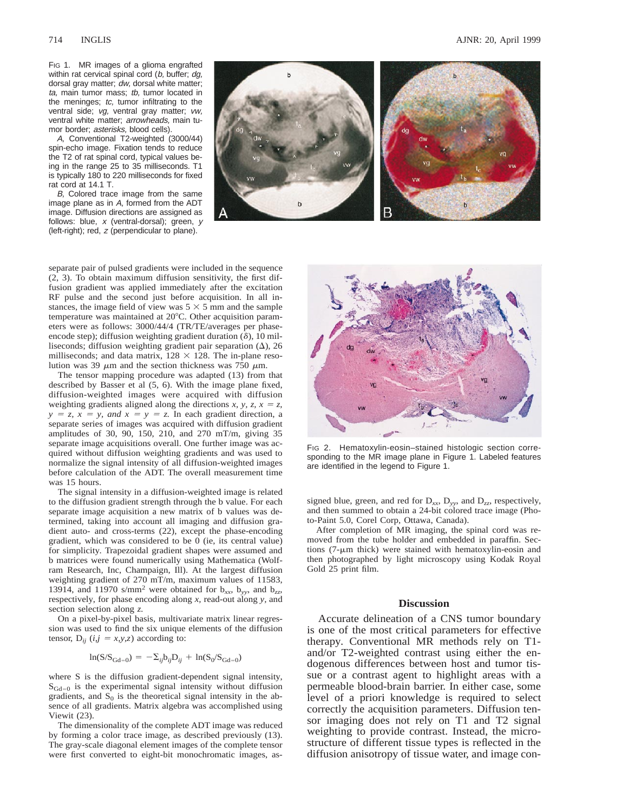FIG 1. MR images of a glioma engrafted within rat cervical spinal cord (b, buffer; dg, dorsal gray matter; dw, dorsal white matter; ta, main tumor mass: tb, tumor located in the meninges;  $tc$ , tumor infiltrating to the ventral side; vg, ventral gray matter; vw, ventral white matter; arrowheads, main tumor border; asterisks, blood cells).

A, Conventional T2-weighted (3000/44) spin-echo image. Fixation tends to reduce the T2 of rat spinal cord, typical values being in the range 25 to 35 milliseconds. T1 is typically 180 to 220 milliseconds for fixed rat cord at 14.1 T.

B, Colored trace image from the same image plane as in A, formed from the ADT image. Diffusion directions are assigned as follows: blue,  $x$  (ventral-dorsal); green,  $y$ (left-right); red, <sup>z</sup> (perpendicular to plane).

714 INGLIS AJNR: 20, April 1999



separate pair of pulsed gradients were included in the sequence (2, 3). To obtain maximum diffusion sensitivity, the first diffusion gradient was applied immediately after the excitation RF pulse and the second just before acquisition. In all instances, the image field of view was  $5 \times 5$  mm and the sample temperature was maintained at 20°C. Other acquisition parameters were as follows: 3000/44/4 (TR/TE/averages per phaseencode step); diffusion weighting gradient duration  $(\delta)$ , 10 milliseconds; diffusion weighting gradient pair separation  $(\Delta)$ , 26 milliseconds; and data matrix,  $128 \times 128$ . The in-plane resolution was 39  $\mu$ m and the section thickness was 750  $\mu$ m.

The tensor mapping procedure was adapted (13) from that described by Basser et al (5, 6). With the image plane fixed, diffusion-weighted images were acquired with diffusion weighting gradients aligned along the directions *x*, *y*, *z*,  $x = z$ ,  $y = z$ ,  $x = y$ , and  $x = y = z$ . In each gradient direction, a separate series of images was acquired with diffusion gradient amplitudes of 30, 90, 150, 210, and 270 mT/m, giving 35 separate image acquisitions overall. One further image was acquired without diffusion weighting gradients and was used to normalize the signal intensity of all diffusion-weighted images before calculation of the ADT. The overall measurement time was 15 hours.

The signal intensity in a diffusion-weighted image is related to the diffusion gradient strength through the b value. For each separate image acquisition a new matrix of b values was determined, taking into account all imaging and diffusion gradient auto- and cross-terms (22), except the phase-encoding gradient, which was considered to be 0 (ie, its central value) for simplicity. Trapezoidal gradient shapes were assumed and b matrices were found numerically using Mathematica (Wolfram Research, Inc, Champaign, Ill). At the largest diffusion weighting gradient of 270 mT/m, maximum values of 11583, 13914, and 11970 s/mm<sup>2</sup> were obtained for  $b_{xy}$ ,  $b_{yy}$ , and  $b_{zz}$ , respectively, for phase encoding along *x,* read-out along *y,* and section selection along *z.*

On a pixel-by-pixel basis, multivariate matrix linear regression was used to find the six unique elements of the diffusion tensor,  $D_{ii}$  (*i,j* = *x,y,z*) according to:

$$
\ln(S/S_{\text{Gd}=0}) = -\Sigma_{ij}b_{ij}D_{ij} + \ln(S_0/S_{\text{Gd}=0})
$$

where S is the diffusion gradient-dependent signal intensity,  $S_{Gd=0}$  is the experimental signal intensity without diffusion gradients, and  $S_0$  is the theoretical signal intensity in the absence of all gradients. Matrix algebra was accomplished using Viewit (23).

The dimensionality of the complete ADT image was reduced by forming a color trace image, as described previously (13). The gray-scale diagonal element images of the complete tensor were first converted to eight-bit monochromatic images, as-



FIG 2. Hematoxylin-eosin-stained histologic section corresponding to the MR image plane in Figure 1. Labeled features are identified in the legend to Figure 1.

signed blue, green, and red for  $D_{xx}$ ,  $D_{yy}$ , and  $D_{zz}$ , respectively, and then summed to obtain a 24-bit colored trace image (Photo-Paint 5.0, Corel Corp, Ottawa, Canada).

After completion of MR imaging, the spinal cord was removed from the tube holder and embedded in paraffin. Sections  $(7-\mu m)$  thick) were stained with hematoxylin-eosin and then photographed by light microscopy using Kodak Royal Gold 25 print film.

### **Discussion**

Accurate delineation of a CNS tumor boundary is one of the most critical parameters for effective therapy. Conventional MR methods rely on T1 and/or T2-weighted contrast using either the endogenous differences between host and tumor tissue or a contrast agent to highlight areas with a permeable blood-brain barrier. In either case, some level of a priori knowledge is required to select correctly the acquisition parameters. Diffusion tensor imaging does not rely on T1 and T2 signal weighting to provide contrast. Instead, the microstructure of different tissue types is reflected in the diffusion anisotropy of tissue water, and image con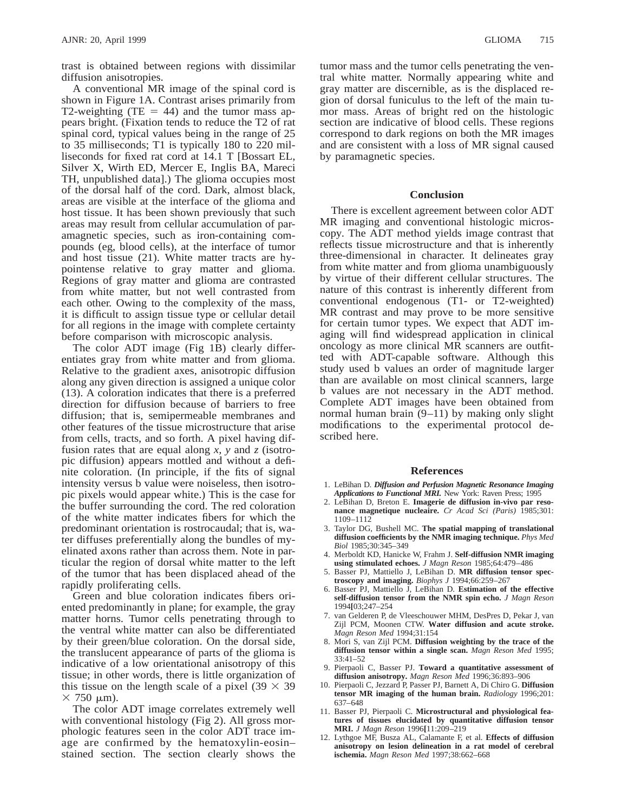trast is obtained between regions with dissimilar diffusion anisotropies.

A conventional MR image of the spinal cord is shown in Figure 1A. Contrast arises primarily from T2-weighting (TE = 44) and the tumor mass appears bright. (Fixation tends to reduce the T2 of rat spinal cord, typical values being in the range of 25 to 35 milliseconds; T1 is typically 180 to 220 milliseconds for fixed rat cord at 14.1 T [Bossart EL, Silver X, Wirth ED, Mercer E, Inglis BA, Mareci TH, unpublished data].) The glioma occupies most of the dorsal half of the cord. Dark, almost black, areas are visible at the interface of the glioma and host tissue. It has been shown previously that such areas may result from cellular accumulation of paramagnetic species, such as iron-containing compounds (eg, blood cells), at the interface of tumor and host tissue (21). White matter tracts are hypointense relative to gray matter and glioma. Regions of gray matter and glioma are contrasted from white matter, but not well contrasted from each other. Owing to the complexity of the mass, it is difficult to assign tissue type or cellular detail for all regions in the image with complete certainty before comparison with microscopic analysis.

The color ADT image (Fig 1B) clearly differentiates gray from white matter and from glioma. Relative to the gradient axes, anisotropic diffusion along any given direction is assigned a unique color (13). A coloration indicates that there is a preferred direction for diffusion because of barriers to free diffusion; that is, semipermeable membranes and other features of the tissue microstructure that arise from cells, tracts, and so forth. A pixel having diffusion rates that are equal along *x, y* and *z* (isotropic diffusion) appears mottled and without a definite coloration. (In principle, if the fits of signal intensity versus b value were noiseless, then isotropic pixels would appear white.) This is the case for the buffer surrounding the cord. The red coloration of the white matter indicates fibers for which the predominant orientation is rostrocaudal; that is, water diffuses preferentially along the bundles of myelinated axons rather than across them. Note in particular the region of dorsal white matter to the left of the tumor that has been displaced ahead of the rapidly proliferating cells.

Green and blue coloration indicates fibers oriented predominantly in plane; for example, the gray matter horns. Tumor cells penetrating through to the ventral white matter can also be differentiated by their green/blue coloration. On the dorsal side, the translucent appearance of parts of the glioma is indicative of a low orientational anisotropy of this tissue; in other words, there is little organization of this tissue on the length scale of a pixel (39  $\times$  39  $\times$  750  $\mu$ m).

The color ADT image correlates extremely well with conventional histology (Fig 2). All gross morphologic features seen in the color ADT trace image are confirmed by the hematoxylin-eosin– stained section. The section clearly shows the

tumor mass and the tumor cells penetrating the ventral white matter. Normally appearing white and gray matter are discernible, as is the displaced region of dorsal funiculus to the left of the main tumor mass. Areas of bright red on the histologic section are indicative of blood cells. These regions correspond to dark regions on both the MR images and are consistent with a loss of MR signal caused by paramagnetic species.

## **Conclusion**

There is excellent agreement between color ADT MR imaging and conventional histologic microscopy. The ADT method yields image contrast that reflects tissue microstructure and that is inherently three-dimensional in character. It delineates gray from white matter and from glioma unambiguously by virtue of their different cellular structures. The nature of this contrast is inherently different from conventional endogenous (T1- or T2-weighted) MR contrast and may prove to be more sensitive for certain tumor types. We expect that ADT imaging will find widespread application in clinical oncology as more clinical MR scanners are outfitted with ADT-capable software. Although this study used b values an order of magnitude larger than are available on most clinical scanners, large b values are not necessary in the ADT method. Complete ADT images have been obtained from normal human brain (9–11) by making only slight modifications to the experimental protocol described here.

#### **References**

- 1. LeBihan D. *Diffusion and Perfusion Magnetic Resonance Imaging Applications to Functional MRI.* New York: Raven Press; 1995
- 2. LeBihan D, Breton E. **Imagerie de diffusion in-vivo par resonance magnetique nucleaire.** *Cr Acad Sci (Paris)* 1985;301: 1109–1112
- 3. Taylor DG, Bushell MC. **The spatial mapping of translational diffusion coefficients by the NMR imaging technique.** *Phys Med Biol* 1985;30:345–349
- 4. Merboldt KD, Hanicke W, Frahm J. **Self-diffusion NMR imaging using stimulated echoes.** *J Magn Reson* 1985;64:479–486
- 5. Basser PJ, Mattiello J, LeBihan D. **MR diffusion tensor spectroscopy and imaging.** *Biophys J* 1994;66:259–267
- 6. Basser PJ, Mattiello J, LeBihan D. **Estimation of the effective self-diffusion tensor from the NMR spin echo.** *J Magn Reson* 1994**[**03;247–254
- 7. van Gelderen P, de Vleeschouwer MHM, DesPres D, Pekar J, van Zijl PCM, Moonen CTW. **Water diffusion and acute stroke.** *Magn Reson Med* 1994;31:154
- 8. Mori S, van Zijl PCM. **Diffusion weighting by the trace of the diffusion tensor within a single scan.** *Magn Reson Med* 1995; 33:41–52
- 9. Pierpaoli C, Basser PJ. **Toward a quantitative assessment of diffusion anisotropy.** *Magn Reson Med* 1996;36:893–906
- 10. Pierpaoli C, Jezzard P, Passer PJ, Barnett A, Di Chiro G. **Diffusion tensor MR imaging of the human brain.** *Radiology* 1996;201: 637–648
- 11. Basser PJ, Pierpaoli C. **Microstructural and physiological features of tissues elucidated by quantitative diffusion tensor MRI.** *J Magn Reson* 1996**[**11:209–219
- 12. Lythgoe MF, Busza AL, Calamante F, et al. **Effects of diffusion anisotropy on lesion delineation in a rat model of cerebral ischemia.** *Magn Reson Med* 1997;38:662–668